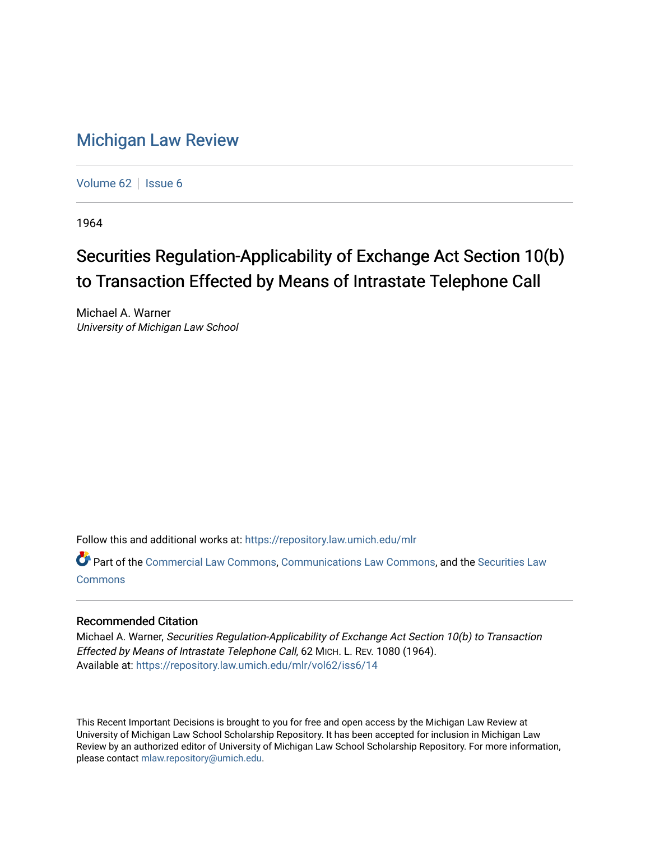## [Michigan Law Review](https://repository.law.umich.edu/mlr)

[Volume 62](https://repository.law.umich.edu/mlr/vol62) | [Issue 6](https://repository.law.umich.edu/mlr/vol62/iss6)

1964

## Securities Regulation-Applicability of Exchange Act Section 10(b) to Transaction Effected by Means of Intrastate Telephone Call

Michael A. Warner University of Michigan Law School

Follow this and additional works at: [https://repository.law.umich.edu/mlr](https://repository.law.umich.edu/mlr?utm_source=repository.law.umich.edu%2Fmlr%2Fvol62%2Fiss6%2F14&utm_medium=PDF&utm_campaign=PDFCoverPages) 

Part of the [Commercial Law Commons](http://network.bepress.com/hgg/discipline/586?utm_source=repository.law.umich.edu%2Fmlr%2Fvol62%2Fiss6%2F14&utm_medium=PDF&utm_campaign=PDFCoverPages), [Communications Law Commons](http://network.bepress.com/hgg/discipline/587?utm_source=repository.law.umich.edu%2Fmlr%2Fvol62%2Fiss6%2F14&utm_medium=PDF&utm_campaign=PDFCoverPages), and the [Securities Law](http://network.bepress.com/hgg/discipline/619?utm_source=repository.law.umich.edu%2Fmlr%2Fvol62%2Fiss6%2F14&utm_medium=PDF&utm_campaign=PDFCoverPages) [Commons](http://network.bepress.com/hgg/discipline/619?utm_source=repository.law.umich.edu%2Fmlr%2Fvol62%2Fiss6%2F14&utm_medium=PDF&utm_campaign=PDFCoverPages)

## Recommended Citation

Michael A. Warner, Securities Regulation-Applicability of Exchange Act Section 10(b) to Transaction Effected by Means of Intrastate Telephone Call, 62 MICH. L. REV. 1080 (1964). Available at: [https://repository.law.umich.edu/mlr/vol62/iss6/14](https://repository.law.umich.edu/mlr/vol62/iss6/14?utm_source=repository.law.umich.edu%2Fmlr%2Fvol62%2Fiss6%2F14&utm_medium=PDF&utm_campaign=PDFCoverPages) 

This Recent Important Decisions is brought to you for free and open access by the Michigan Law Review at University of Michigan Law School Scholarship Repository. It has been accepted for inclusion in Michigan Law Review by an authorized editor of University of Michigan Law School Scholarship Repository. For more information, please contact [mlaw.repository@umich.edu.](mailto:mlaw.repository@umich.edu)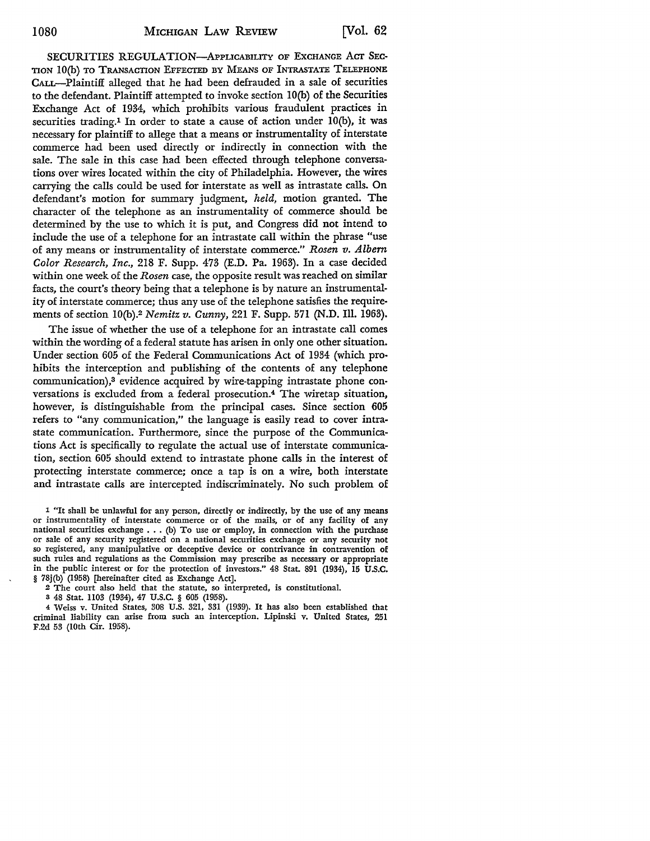SECURITIES REGULATION-APPLICABILITY OF EXCHANGE **ACT** SEC-TION 10(b) TO TRANSACTION **EFFECTED** BY MEANS OF INTRASTATE **TELEPHONE** CALL-Plaintiff alleged that he had been defrauded in a sale of securities to the defendant. Plaintiff attempted to invoke section 10(b) of the Securities Exchange Act of 1984, which prohibits various fraudulent practices in securities trading.<sup>1</sup> In order to state a cause of action under 10(b), it was necessary for plaintiff to allege that a means or instrumentality of interstate commerce had been used directly or indirectly in connection with the sale. The sale in this case had been effected through telephone conversations over wires located within the city of Philadelphia. However, the wires carrying the calls could be used for interstate as well as intrastate calls. On defendant's motion for summary judgment, *held,* motion granted. The character of the telephone as an instrumentality of commerce should be determined by the use to which it is put, and Congress did not intend to include the use of a telephone for an intrastate call within the phrase "use of any means or instrumentality of interstate commerce." *Rosen v. Albern Color Research, Inc.,* 218 F. Supp. 473 (E.D. Pa. **1963).** In a case decided within one week of the *Rosen* case, the opposite result was reached on similar facts, the court's theory being that a telephone is by nature an instrumentality of interstate commerce; thus any use of the telephone satisfies the requirements of section **10(b).2** *Nemitz v. Cunny,* 221 F. Supp. **571** (N.D. Ill. 1963).

The issue of whether the use of a telephone for an intrastate call comes within the wording of a federal statute has arisen in only one other situation. Under section **605** of the Federal Communications Act of 1934 (which prohibits the interception and publishing of the contents of any telephone communication),<sup>3</sup> evidence acquired by wire-tapping intrastate phone conversations is excluded from a federal prosecution.<sup>4</sup> The wiretap situation, however, is distinguishable from the principal cases. Since section **605** refers to "any communication," the language is easily read to cover intrastate communication. Furthermore, since the purpose of the Communications Act is specifically to regulate the actual use of interstate communication, section **605** should extend to intrastate phone calls in the interest of protecting interstate commerce; once a tap is on a wire, both interstate and intrastate calls are intercepted indiscriminately. No such problem of

*I* "It shall be unlawful for any person, directly or indirectly, by the use of any means or instrumentality of interstate commerce or of the mails, or of any facility of any national securities exchange . **.. (b)** To use or employ, in connection with the purchase or sale of any security registered on a national securities exchange or any security not so registered, any manipulative or deceptive device or contrivance in contravention of such rules and regulations as the Commission may prescribe as necessary or appropriate in the public interest or for the protection of investors." 48 Stat. **891** (1934), **15** U.S.C. § 78j(b) (1958) [hereinafter cited as Exchange Act].

2 The court also held that the statute, so interpreted, is constitutional.

3 48 Stat. 1103 (1934), 47 **U.S.C.** § **605** (1958).

**4** Weiss v. United States, **308 U.S. 321, 331 (1939).** It has also been established that criminal liability can arise from such an interception. Lipinski v. United States, **251 F.2d 53** (10th Cir. **1958).**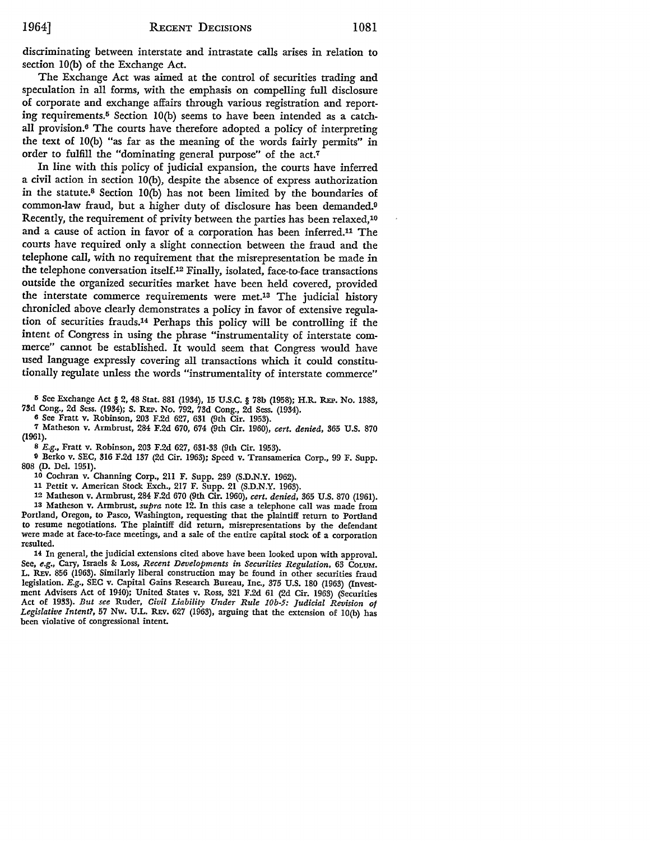discriminating between interstate and intrastate calls arises in relation to section 10(b) of the Exchange Act.

The Exchange Act was aimed at the control of securities trading and speculation in all forms, with the emphasis on compelling full disclosure of corporate and exchange affairs through various registration and reporting requirements.5 Section 10(b) seems to have been intended as a catchall provision.<sup>6</sup> The courts have therefore adopted a policy of interpreting the text of 10(b) "as far as the meaning of the words fairly permits" in order to fulfill the "dominating general purpose" of the act.7

In line with this policy of judicial expansion, the courts have inferred a civil action in section 10(b), despite the absence of express authorization in the statute.8 Section 10(b) has not been limited by the boundaries of common-law fraud, but a higher duty of disclosure has been demanded.9 Recently, the requirement of privity between the parties has been relaxed,<sup>10</sup> and a cause of action in favor of a corporation has been inferred.<sup>11</sup> The courts have required only a slight connection between the fraud and the telephone call, with no requirement that the misrepresentation be made in the telephone conversation itself.12 Finally, isolated, face-to-face transactions outside the organized securities market have been held covered, provided the interstate commerce requirements were met.'3 The judicial history chronicled above dearly demonstrates a policy in favor of extensive regulation of securities frauds.14 Perhaps this policy will be controlling if the intent of Congress in using the phrase "instrumentality of interstate commerce" cannot be established. It would seem that Congress would have used language expressly covering all transactions which it could constitutionally regulate unless the words "instrumentality of interstate commerce"

**<sup>5</sup>**See Exchange Act § 2, 48 Stat. **881** (1934), **15 U.S.C.** § 78b (1958); H.R. REP. No. **1383, 73d** Cong., 2d Sess. (1934); *S.* REP. No. 792, **73d** Cong., 2d Sess. (1934).

**<sup>6</sup>**See Fratt v. Robinson, 203 F.2d 627, 631 (9th Cir. 1953).

**7** Matheson v. Armbrust, 284 F.2d 670, 674 (9th Cir. 1960), *cert. denied,* 365 U.S. 870 (1961).

*8 E.g.,* Fratt v. Robinson, 203 F.2d **627,** 631-33 (9th Cir. 1953).

**<sup>9</sup>**Berko v. SEC, **316** F.2d 137 (2d Cir. 1963); Speed v. Transamerica Corp., **99** F. Supp. **808 (D.** Del. 1951).

**10** Cochran v. Channing Corp., 211 F. Supp. **239 (S.D.N.Y. 1962).**

**<sup>11</sup>**Pettit v. American Stock Exch., 217 F. Supp. 21 **(S.D.N.Y. 1963).**

12 Matheson v. Armbrust, 284 F.2d 670 (9th Cir. 1960), *cert. denied,* **365** U.S. 870 **(1961). <sup>13</sup>**Matheson v. Armbrust, *supra* note 12. In this case a telephone call was made from Portland, Oregon, to Pasco, Washington, requesting that the plaintiff return to Portland to resume negotiations. The plaintiff did return, misrepresentations by the defendant were made at face-to-face meetings, and a sale of the entire capital stock of a corporation resulted.

**<sup>14</sup>**In general, the judicial extensions cited above have been looked upon with approval. See, e.g., Cary, Israels & Loss, *Recent Developments in Securities Regulation*, 63 COLUM. L. REV. 856 (1963). Similarly liberal construction may be found in other securities fraud legislation. *E.g.,* **SEC** v. Capital Gains Research Bureau, Inc., 375 U.S. 180 (1963) (Investment Advisers Act of 1940); United States v. Ross, 321 F.2d 61 (2d Cir. 1963) (Securities Act of 1933). *But see* Ruder, *Civil Liability Under Rule 10b-5: Judicial Revision of* Legislative Intent?, 57 Nw. U.L. REV. 627 (1963), arguing that the extension of 10(b) has been violative of congressional intent.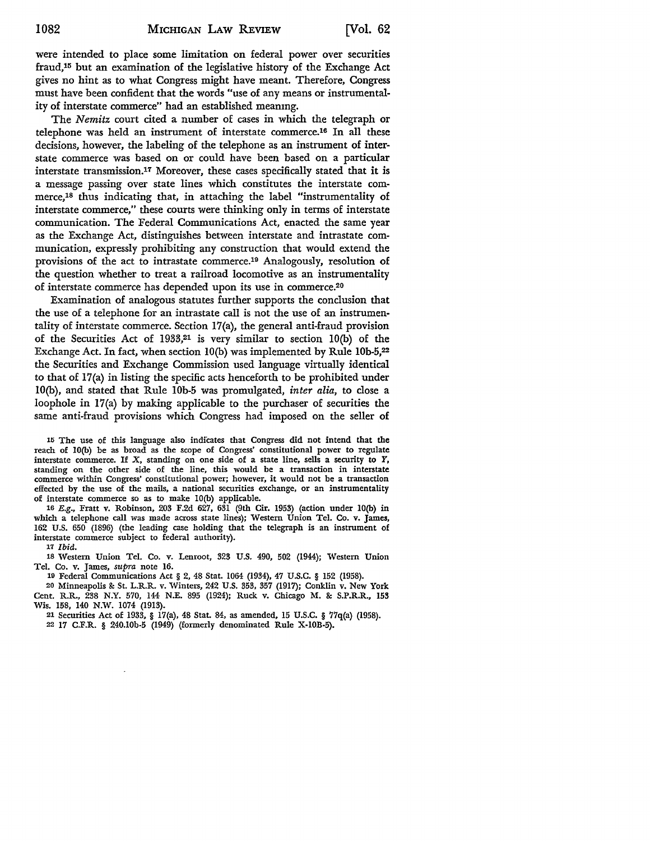were intended to place some limitation on federal power over securities fraud,15 but an examination of the legislative history of the Exchange Act gives no hint as to what Congress might have meant. Therefore, Congress must have been confident that the words "use of any means or instrumentality of interstate commerce" had an established meaning.

The *Nemitz* court cited a number of cases in which the telegraph or telephone was held an instrument of interstate commerce.<sup>16</sup> In all these decisions, however, the labeling of the telephone as an instrument of interstate commerce was based on or could have been based on a particular interstate transmission.<sup>17</sup> Moreover, these cases specifically stated that it is a message passing over state lines which constitutes the interstate commerce,<sup>18</sup> thus indicating that, in attaching the label "instrumentality of interstate commerce," these courts were thinking only in terms of interstate communication. The Federal Communications Act, enacted the same year as the Exchange Act, distinguishes between interstate and intrastate communication, expressly prohibiting any construction that would extend the provisions of the act to intrastate commerce.<sup>19</sup> Analogously, resolution of the question whether to treat a railroad locomotive as an instrumentality of interstate commerce has depended upon its use in commerce.<sup>20</sup>

Examination of analogous statutes further supports the conclusion that the use of a telephone for an intrastate call is not the use of an instrumentality of interstate commerce. Section 17(a), the general anti-fraud provision of the Securities Act of **1933,21** is very similar to section 10(b) of the Exchange Act. In fact, when section 10(b) was implemented by Rule lOb-5,<sup>22</sup> the Securities and Exchange Commission used language virtually identical to that of 17(a) in listing the specific acts henceforth to be prohibited under 10(b), and stated that Rule **lOb-5** was promulgated, *inter alia,* to dose a loophole in 17(a) by making applicable to the purchaser of securities the same anti-fraud provisions which Congress had imposed on the seller of

**<sup>15</sup>**The use of this language also indicates that Congress did not intend that the reach of 10(b) be as broad as the scope of Congress' constitutional power to regulate interstate commerce. If X, standing on one side of a state line, sells a security to *Y,* standing on the other side of the line, this would be a transaction in interstate commerce within Congress' constitutional power; however, it would not be a transaction effected **by** the use of the mails, a national securities exchange, or an instrumentality of interstate commerce so as to make 10(b) applicable.

**16 E.g.,** Fratt v. Robinson, **203 F.2d 627, 631** (9th Cir. **1953)** (action under **10(b)** in which a telephone call was made across state lines); Western Union Tel. Co. v. James, **162 U.S. 650 (1896)** (the leading case holding that the telegraph is an instrument of interstate commerce subject to federal authority).

**<sup>17</sup>***Ibid.*

**18** Western Union Tel. Co. v. Lenroot, 323 U.S. 490, **502** (1944); Western Union Tel. Co. v. James, *supra* note 16.

**19** Federal Communications Act § 2, 48 Stat. 1064 (1934), 47 U.S.C. § **152** (1958).

**20** Minneapolis **&** St. L.R.R. v. Winters, 242 U.S. 353, **357** (1917); Conklin v. New York Cent. R.R., **238** N.Y. 570, 144 N.E. **895** (1924); Ruck v. Chicago M. & S.P.R.R., **153** Wis. 158, 140 N.W. 1074 (1913).

21 Securities Act of 1933, § 17(a), 48 Stat. 84, as amended, **15** U.S.C. § 77q(a) (1958). **22** 17 C.F.R. § 240.10b-5 (1949) (formerly denominated Rule X-101-5).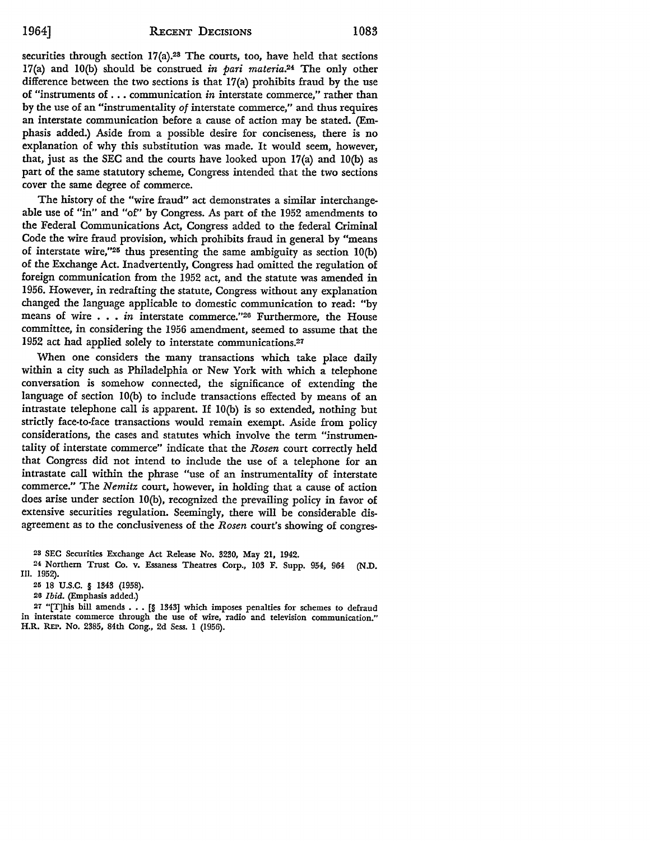securities through section  $17(a)$ .<sup>28</sup> The courts, too, have held that sections 17(a) and 10(b) should be construed *in pari materia*.<sup>24</sup> The only other difference between the two sections is that 17(a) prohibits fraud by the use of "instruments of **...** communication *in* interstate commerce," rather than by the use of an "instrumentality *of* interstate commerce," and thus requires an interstate communication before a cause of action may be stated. (Emphasis added.) Aside from a possible desire for conciseness, there is no explanation of why this substitution was made. It would seem, however, that, just as the SEC and the courts have looked upon 17(a) and 10(b) as part of the same statutory scheme, Congress intended that the two sections cover the same degree of commerce.

The history of the "wire fraud" act demonstrates a similar interchangeable use of "in" and "of" by Congress. As part of the 1952 amendments to the Federal Communications Act, Congress added to the federal Criminal Code the wire fraud provision, which prohibits fraud in general by "means of interstate wire,"<sup>25</sup> thus presenting the same ambiguity as section  $10(b)$ of the Exchange Act. Inadvertently, Congress had omitted the regulation of foreign communication from the 1952 act, and the statute was amended in 1956. However, in redrafting the statute, Congress without any explanation changed the language applicable to domestic communication to read: "by means of wire . . . *in* interstate commerce."<sup>26</sup> Furthermore, the House committee, in considering the 1956 amendment, seemed to assume that the 1952 act had applied solely to interstate communications.<sup>27</sup>

When one considers the many transactions which take place daily within a city such as Philadelphia or New York with which a telephone conversation is somehow connected, the significance of extending the language of section 10(b) to include transactions effected by means of an intrastate telephone call is apparent. If 10(b) is so extended, nothing but strictly face-to-face transactions would remain exempt. Aside from policy considerations, the cases and statutes which involve the term "instrumentality of interstate commerce" indicate that the *Rosen* court correctly held that Congress did not intend to include the use of a telephone for an intrastate call within the phrase "use of an instrumentality of interstate commerce." The *Nemitz* court, however, in holding that a cause of action does arise under section 10(b), recognized the prevailing policy in favor of extensive securities regulation. Seemingly, there will be considerable disagreement as to the conclusiveness of the *Rosen* court's showing of congres-

**23 SEC** Securities Exchange Act Release No. 3230, May 21, 1942.

**<sup>24</sup>**Northern Trust Co. v. Essaness Theatres Corp., 103 F. Supp. 954, 964 (N.D. Ill. 1952).

*<sup>26</sup>Ibid.* (Emphasis added.)

**27** "[T]his bill amends **. . . [§** 1343] which imposes penalties for schemes to defraud in interstate commerce through the use of wire, radio and television communication." H.R. **REP. No. 2385,** 84th Cong., **2d** Sess. **1 (1956).**

**<sup>25 18</sup> U.S.C.** § 1343 **(1958).**